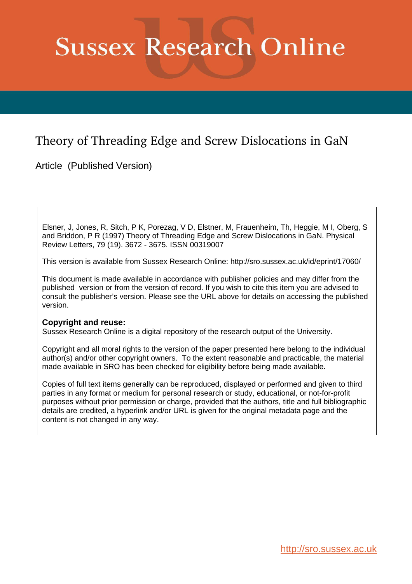# **Sussex Research Online**

## Theory of Threading Edge and Screw Dislocations in GaN

Article (Published Version)

Elsner, J, Jones, R, Sitch, P K, Porezag, V D, Elstner, M, Frauenheim, Th, Heggie, M I, Oberg, S and Briddon, P R (1997) Theory of Threading Edge and Screw Dislocations in GaN. Physical Review Letters, 79 (19). 3672 - 3675. ISSN 00319007

This version is available from Sussex Research Online: http://sro.sussex.ac.uk/id/eprint/17060/

This document is made available in accordance with publisher policies and may differ from the published version or from the version of record. If you wish to cite this item you are advised to consult the publisher's version. Please see the URL above for details on accessing the published version.

### **Copyright and reuse:**

Sussex Research Online is a digital repository of the research output of the University.

Copyright and all moral rights to the version of the paper presented here belong to the individual author(s) and/or other copyright owners. To the extent reasonable and practicable, the material made available in SRO has been checked for eligibility before being made available.

Copies of full text items generally can be reproduced, displayed or performed and given to third parties in any format or medium for personal research or study, educational, or not-for-profit purposes without prior permission or charge, provided that the authors, title and full bibliographic details are credited, a hyperlink and/or URL is given for the original metadata page and the content is not changed in any way.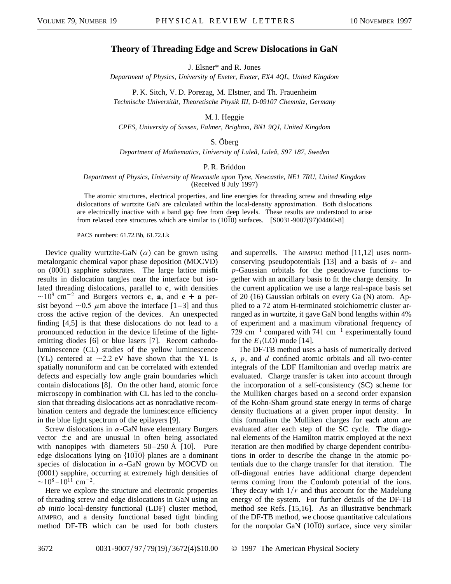#### **Theory of Threading Edge and Screw Dislocations in GaN**

J. Elsner\* and R. Jones

*Department of Physics, University of Exeter, Exeter, EX4 4QL, United Kingdom*

P. K. Sitch, V. D. Porezag, M. Elstner, and Th. Frauenheim *Technische Universität, Theoretische Physik III, D-09107 Chemnitz, Germany*

M. I. Heggie

*CPES, University of Sussex, Falmer, Brighton, BN1 9QJ, United Kingdom*

S. Öberg

*Department of Mathematics, University of Luleå, Luleå, S97 187, Sweden*

#### P. R. Briddon

*Department of Physics, University of Newcastle upon Tyne, Newcastle, NE1 7RU, United Kingdom*

(Received 8 July 1997)

The atomic structures, electrical properties, and line energies for threading screw and threading edge dislocations of wurtzite GaN are calculated within the local-density approximation. Both dislocations are electrically inactive with a band gap free from deep levels. These results are understood to arise from relaxed core structures which are similar to  $(10\overline{1}0)$  surfaces. [S0031-9007(97)04460-8]

PACS numbers: 61.72.Bb, 61.72.Lk

Device quality wurtzite-GaN  $(\alpha)$  can be grown using metalorganic chemical vapor phase deposition (MOCVD) on (0001) sapphire substrates. The large lattice misfit results in dislocation tangles near the interface but isolated threading dislocations, parallel to **c**, with densities  $\sim$ 10<sup>9</sup> cm<sup>-2</sup> and Burgers vectors **c**, **a**, and **c** + **a** persist beyond  $\sim 0.5 \mu$ m above the interface [1–3] and thus cross the active region of the devices. An unexpected finding [4,5] is that these dislocations do not lead to a pronounced reduction in the device lifetime of the lightemitting diodes [6] or blue lasers [7]. Recent cathodoluminescence (CL) studies of the yellow luminescence (YL) centered at  $\sim$  2.2 eV have shown that the YL is spatially nonuniform and can be correlated with extended defects and especially low angle grain boundaries which contain dislocations [8]. On the other hand, atomic force microscopy in combination with CL has led to the conclusion that threading dislocations act as nonradiative recombination centers and degrade the luminescence efficiency in the blue light spectrum of the epilayers [9].

Screw dislocations in  $\alpha$ -GaN have elementary Burgers vector  $\pm c$  and are unusual in often being associated with nanopipes with diameters  $50-250$  Å [10]. Pure edge dislocations lying on  $\{10\overline{1}0\}$  planes are a dominant species of dislocation in  $\alpha$ -GaN grown by MOCVD on (0001) sapphire, occurring at extremely high densities of  $\sim$ 10<sup>8</sup> – 10<sup>11</sup> cm<sup>-2</sup>.

Here we explore the structure and electronic properties of threading screw and edge dislocations in GaN using an *ab initio* local-density functional (LDF) cluster method, AIMPRO, and a density functional based tight binding method DF-TB which can be used for both clusters

and supercells. The AIMPRO method [11,12] uses normconserving pseudopotentials [13] and a basis of *s*- and *p*-Gaussian orbitals for the pseudowave functions together with an ancillary basis to fit the charge density. In the current application we use a large real-space basis set of 20 (16) Gaussian orbitals on every Ga (N) atom. Applied to a 72 atom H-terminated stoichiometric cluster arranged as in wurtzite, it gave GaN bond lengths within 4% of experiment and a maximum vibrational frequency of 729 cm<sup>-1</sup> compared with 741 cm<sup>-1</sup> experimentally found for the  $E_1(LO)$  mode [14].

The DF-TB method uses a basis of numerically derived *s*, *p*, and *d* confined atomic orbitals and all two-center integrals of the LDF Hamiltonian and overlap matrix are evaluated. Charge transfer is taken into account through the incorporation of a self-consistency (SC) scheme for the Mulliken charges based on a second order expansion of the Kohn-Sham ground state energy in terms of charge density fluctuations at a given proper input density. In this formalism the Mulliken charges for each atom are evaluated after each step of the SC cycle. The diagonal elements of the Hamilton matrix employed at the next iteration are then modified by charge dependent contributions in order to describe the change in the atomic potentials due to the charge transfer for that iteration. The off-diagonal entries have additional charge dependent terms coming from the Coulomb potential of the ions. They decay with  $1/r$  and thus account for the Madelung energy of the system. For further details of the DF-TB method see Refs. [15,16]. As an illustrative benchmark of the DF-TB method, we choose quantitative calculations for the nonpolar GaN  $(10\overline{1}0)$  surface, since very similar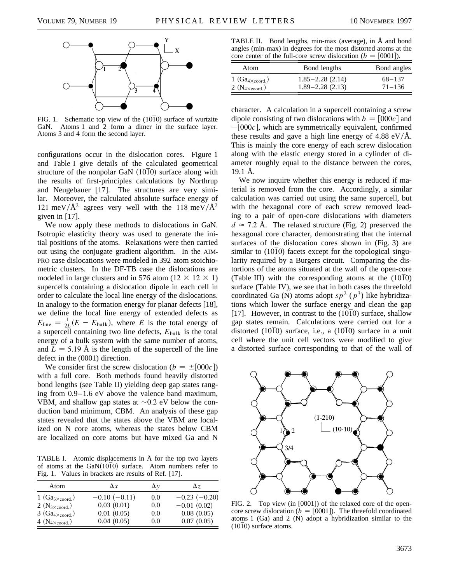

FIG. 1. Schematic top view of the  $(10\overline{1}0)$  surface of wurtzite GaN. Atoms 1 and 2 form a dimer in the surface layer. Atoms 3 and 4 form the second layer.

configurations occur in the dislocation cores. Figure 1 and Table I give details of the calculated geometrical structure of the nonpolar GaN  $(1010)$  surface along with the results of first-principles calculations by Northrup and Neugebauer [17]. The structures are very similar. Moreover, the calculated absolute surface energy of 121 meV/ $\AA^2$  agrees very well with the 118 meV/ $\AA^2$ given in [17].

We now apply these methods to dislocations in GaN. Isotropic elasticity theory was used to generate the initial positions of the atoms. Relaxations were then carried out using the conjugate gradient algorithm. In the AIM-PRO case dislocations were modeled in 392 atom stoichiometric clusters. In the DF-TB case the dislocations are modeled in large clusters and in 576 atom (12  $\times$  12  $\times$  1) supercells containing a dislocation dipole in each cell in order to calculate the local line energy of the dislocations. In analogy to the formation energy for planar defects [18], we define the local line energy of extended defects as  $E_{\text{line}} = \frac{1}{2L}(E - E_{\text{bulk}})$ , where *E* is the total energy of a supercell containing two line defects, *E*bulk is the total energy of a bulk system with the same number of atoms, and  $L = 5.19 \text{ Å}$  is the length of the supercell of the line defect in the (0001) direction.

We consider first the screw dislocation ( $b = \pm [000c]$ ) with a full core. Both methods found heavily distorted bond lengths (see Table II) yielding deep gap states ranging from 0.9–1.6 eV above the valence band maximum, VBM, and shallow gap states at  $\sim 0.2$  eV below the conduction band minimum, CBM. An analysis of these gap states revealed that the states above the VBM are localized on N core atoms, whereas the states below CBM are localized on core atoms but have mixed Ga and N

TABLE I. Atomic displacements in Å for the top two layers of atoms at the  $GaN(1010)$  surface. Atom numbers refer to Fig. 1. Values in brackets are results of Ref. [17].

| Atom                      | Δx             | Δν  | Δz             |
|---------------------------|----------------|-----|----------------|
| $1(Ga_{3\times coord.})$  | $-0.10(-0.11)$ | 0.0 | $-0.23(-0.20)$ |
| $2 (N_{3 \times coord.})$ | 0.03(0.01)     | 0.0 | $-0.01(0.02)$  |
| $3(Ga_{4 \times coord.})$ | 0.01(0.05)     | 0.0 | 0.08(0.05)     |
| 4 $(N_{4 \times coord.})$ | 0.04(0.05)     | 0.0 | 0.07(0.05)     |

TABLE II. Bond lengths, min-max (average), in Å and bond angles (min-max) in degrees for the most distorted atoms at the core center of the full-core screw dislocation ( $b = [0001]$ ).

| Bond lengths<br>Atom<br>$1(Ga_{4 \times coord.})$<br>$1.85 - 2.28$ (2.14)<br>$1.89 - 2.28$ (2.13) |                           |                          |
|---------------------------------------------------------------------------------------------------|---------------------------|--------------------------|
|                                                                                                   |                           | Bond angles              |
|                                                                                                   | $2 (N_{4 \times coord.})$ | $68 - 137$<br>$71 - 136$ |

character. A calculation in a supercell containing a screw dipole consisting of two dislocations with  $b = [000c]$  and  $-[000c]$ , which are symmetrically equivalent, confirmed these results and gave a high line energy of 4.88 eV/ $\AA$ . This is mainly the core energy of each screw dislocation along with the elastic energy stored in a cylinder of diameter roughly equal to the distance between the cores, 19.1 Å.

We now inquire whether this energy is reduced if material is removed from the core. Accordingly, a similar calculation was carried out using the same supercell, but with the hexagonal core of each screw removed leading to a pair of open-core dislocations with diameters  $d \approx 7.2$  Å. The relaxed structure (Fig. 2) preserved the hexagonal core character, demonstrating that the internal surfaces of the dislocation cores shown in (Fig. 3) are similar to  $(10\overline{1}0)$  facets except for the topological singularity required by a Burgers circuit. Comparing the distortions of the atoms situated at the wall of the open-core (Table III) with the corresponding atoms at the (1010) surface (Table IV), we see that in both cases the threefold coordinated Ga (N) atoms adopt  $sp^2$  ( $p^3$ ) like hybridizations which lower the surface energy and clean the gap [17]. However, in contrast to the (1010) surface, shallow gap states remain. Calculations were carried out for a distorted (1010) surface, i.e., a (1010) surface in a unit cell where the unit cell vectors were modified to give a distorted surface corresponding to that of the wall of



FIG. 2. Top view (in [0001]) of the relaxed core of the opencore screw dislocation ( $b = [0001]$ ). The threefold coordinated atoms 1 (Ga) and 2 (N) adopt a hybridization similar to the  $(10\overline{1}0)$  surface atoms.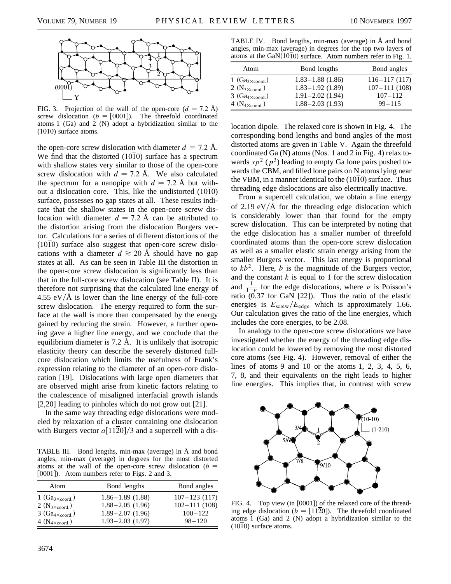

FIG. 3. Projection of the wall of the open-core  $(d = 7.2 \text{ Å})$ screw dislocation  $(b = [0001])$ . The threefold coordinated atoms 1 (Ga) and 2 (N) adopt a hybridization similar to the (1010) surface atoms.

the open-core screw dislocation with diameter  $d = 7.2$  Å. We find that the distorted  $(10\overline{1}0)$  surface has a spectrum with shallow states very similar to those of the open-core screw dislocation with  $d = 7.2$  Å. We also calculated the spectrum for a nanopipe with  $d = 7.2$  Å but without a dislocation core. This, like the undistorted  $(10\overline{1}0)$ surface, possesses no gap states at all. These results indicate that the shallow states in the open-core screw dislocation with diameter  $d = 7.2$  Å can be attributed to the distortion arising from the dislocation Burgers vector. Calculations for a series of different distortions of the (1010) surface also suggest that open-core screw dislocations with a diameter  $d \ge 20$  Å should have no gap states at all. As can be seen in Table III the distortion in the open-core screw dislocation is significantly less than that in the full-core screw dislocation (see Table II). It is therefore not surprising that the calculated line energy of 4.55 eV/ $\AA$  is lower than the line energy of the full-core screw dislocation. The energy required to form the surface at the wall is more than compensated by the energy gained by reducing the strain. However, a further opening gave a higher line energy, and we conclude that the equilibrium diameter is 7.2 Å. It is unlikely that isotropic elasticity theory can describe the severely distorted fullcore dislocation which limits the usefulness of Frank's expression relating to the diameter of an open-core dislocation [19]. Dislocations with large open diameters that are observed might arise from kinetic factors relating to the coalescence of misaligned interfacial growth islands [2,20] leading to pinholes which do not grow out [21].

In the same way threading edge dislocations were modeled by relaxation of a cluster containing one dislocation with Burgers vector  $a[11\overline{2}0]/3$  and a supercell with a dis-

TABLE III. Bond lengths, min-max (average) in Å and bond angles, min-max (average) in degrees for the most distorted atoms at the wall of the open-core screw dislocation  $(b =$ [0001]). Atom numbers refer to Figs. 2 and 3.

| Atom                                                   | Bond lengths                                | Bond angles                     |
|--------------------------------------------------------|---------------------------------------------|---------------------------------|
| $1(Ga_{3\times coord.})$                               | $1.86 - 1.89(1.88)$                         | $107 - 123$ (117)               |
| $2 (N_{3 \times coord.})$                              | $1.88 - 2.05(1.96)$<br>$1.89 - 2.07$ (1.96) | $102 - 111(108)$<br>$100 - 122$ |
| $3(Ga_{4 \times coord.})$<br>$4 (N_{4 \times coord.})$ | $1.93 - 2.03$ (1.97)                        | $98 - 120$                      |

TABLE IV. Bond lengths, min-max (average) in Å and bond angles, min-max (average) in degrees for the top two layers of atoms at the GaN $(10\overline{10})$  surface. Atom numbers refer to Fig. 1.

| Atom                                                   | Bond lengths                                 | Bond angles                     |
|--------------------------------------------------------|----------------------------------------------|---------------------------------|
| $1(Ga_{3 \times coord.})$                              | $1.83 - 1.88$ (1.86)                         | $116 - 117(117)$                |
| $2 (N_{3 \times coord.})$<br>$3(Ga_{4 \times coord.})$ | $1.83 - 1.92$ (1.89)<br>$1.91 - 2.02$ (1.94) | $107 - 111(108)$<br>$107 - 112$ |
| $4 (N_{4 \times coord.})$                              | $1.88 - 2.03$ (1.93)                         | $99 - 115$                      |

location dipole. The relaxed core is shown in Fig. 4. The corresponding bond lengths and bond angles of the most distorted atoms are given in Table V. Again the threefold coordinated Ga (N) atoms (Nos. 1 and 2 in Fig. 4) relax towards  $sp^2$  ( $p^3$ ) leading to empty Ga lone pairs pushed towards the CBM, and filled lone pairs on N atoms lying near the VBM, in a manner identical to the  $(10\overline{1}0)$  surface. Thus threading edge dislocations are also electrically inactive.

From a supercell calculation, we obtain a line energy of 2.19 eV/ $\AA$  for the threading edge dislocation which is considerably lower than that found for the empty screw dislocation. This can be interpreted by noting that the edge dislocation has a smaller number of threefold coordinated atoms than the open-core screw dislocation as well as a smaller elastic strain energy arising from the smaller Burgers vector. This last energy is proportional to  $kb^2$ . Here, *b* is the magnitude of the Burgers vector, and the constant  $k$  is equal to 1 for the screw dislocation and  $\frac{1}{1-\nu}$  for the edge dislocations, where  $\nu$  is Poisson's ratio  $(0.37$  for GaN [22]). Thus the ratio of the elastic energies is  $E_{\text{screw}}/E_{\text{edge}}$  which is approximately 1.66. Our calculation gives the ratio of the line energies, which includes the core energies, to be 2.08.

In analogy to the open-core screw dislocations we have investigated whether the energy of the threading edge dislocation could be lowered by removing the most distorted core atoms (see Fig. 4). However, removal of either the lines of atoms 9 and 10 or the atoms 1, 2, 3, 4, 5, 6, 7, 8, and their equivalents on the right leads to higher line energies. This implies that, in contrast with screw



FIG. 4. Top view (in [0001]) of the relaxed core of the threading edge dislocation ( $b = [11\overline{2}0]$ ). The threefold coordinated atoms 1 (Ga) and 2 (N) adopt a hybridization similar to the  $(10\overline{1}0)$  surface atoms.